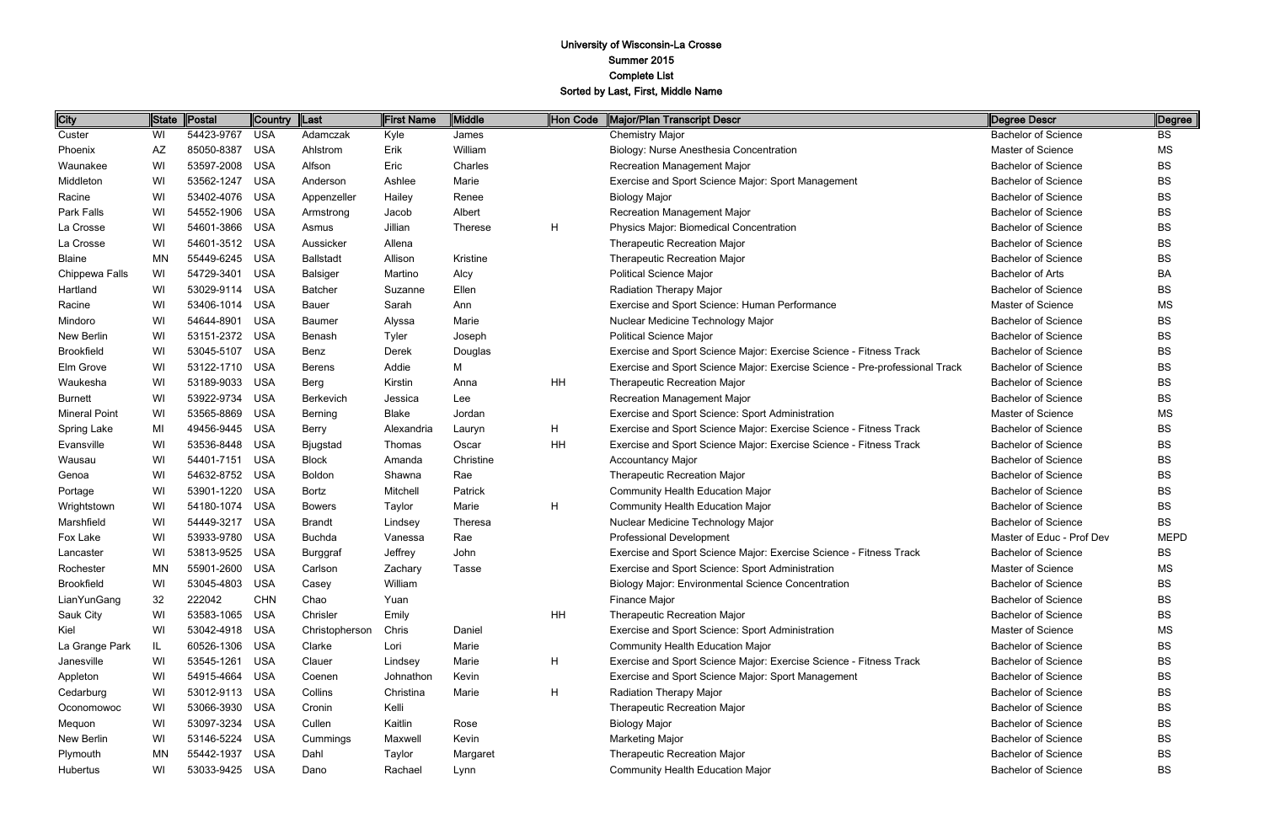| City                 | State     | <b>Postal</b> | Country    | $\ $ Last        | <b>First Name</b> | Middle         | Hon Code | Major/Plan Transcript Descr                                                 | Degree Descr               | Degree      |
|----------------------|-----------|---------------|------------|------------------|-------------------|----------------|----------|-----------------------------------------------------------------------------|----------------------------|-------------|
| Custer               | WI        | 54423-9767    | <b>USA</b> | Adamczak         | Kyle              | James          |          | <b>Chemistry Major</b>                                                      | <b>Bachelor of Science</b> | <b>BS</b>   |
| Phoenix              | <b>AZ</b> | 85050-8387    | <b>USA</b> | Ahlstrom         | Erik              | William        |          | Biology: Nurse Anesthesia Concentration                                     | Master of Science          | <b>MS</b>   |
| Waunakee             | WI        | 53597-2008    | <b>USA</b> | Alfson           | Eric              | Charles        |          | Recreation Management Major                                                 | <b>Bachelor of Science</b> | <b>BS</b>   |
| Middleton            | WI        | 53562-1247    | <b>USA</b> | Anderson         | Ashlee            | Marie          |          | Exercise and Sport Science Major: Sport Management                          | <b>Bachelor of Science</b> | <b>BS</b>   |
| Racine               | WI        | 53402-4076    | <b>USA</b> | Appenzeller      | Hailey            | Renee          |          | <b>Biology Major</b>                                                        | <b>Bachelor of Science</b> | <b>BS</b>   |
| Park Falls           | WI        | 54552-1906    | <b>USA</b> | Armstrong        | Jacob             | Albert         |          | <b>Recreation Management Major</b>                                          | <b>Bachelor of Science</b> | <b>BS</b>   |
| La Crosse            | WI        | 54601-3866    | <b>USA</b> | Asmus            | Jillian           | <b>Therese</b> | H        | Physics Major: Biomedical Concentration                                     | <b>Bachelor of Science</b> | <b>BS</b>   |
| La Crosse            | WI        | 54601-3512    | <b>USA</b> | Aussicker        | Allena            |                |          | Therapeutic Recreation Major                                                | <b>Bachelor of Science</b> | <b>BS</b>   |
| <b>Blaine</b>        | <b>MN</b> | 55449-6245    | <b>USA</b> | <b>Ballstadt</b> | Allison           | Kristine       |          | Therapeutic Recreation Major                                                | <b>Bachelor of Science</b> | <b>BS</b>   |
| Chippewa Falls       | WI        | 54729-3401    | <b>USA</b> | <b>Balsiger</b>  | Martino           | Alcy           |          | <b>Political Science Major</b>                                              | <b>Bachelor of Arts</b>    | <b>BA</b>   |
| Hartland             | WI        | 53029-9114    | <b>USA</b> | <b>Batcher</b>   | Suzanne           | Ellen          |          | Radiation Therapy Major                                                     | <b>Bachelor of Science</b> | <b>BS</b>   |
| Racine               | WI        | 53406-1014    | <b>USA</b> | Bauer            | Sarah             | Ann            |          | Exercise and Sport Science: Human Performance                               | Master of Science          | <b>MS</b>   |
| Mindoro              | WI        | 54644-8901    | <b>USA</b> | <b>Baumer</b>    | Alyssa            | Marie          |          | Nuclear Medicine Technology Major                                           | <b>Bachelor of Science</b> | <b>BS</b>   |
| New Berlin           | WI        | 53151-2372    | <b>USA</b> | Benash           | <b>Tyler</b>      | Joseph         |          | <b>Political Science Major</b>                                              | <b>Bachelor of Science</b> | <b>BS</b>   |
| <b>Brookfield</b>    | WI        | 53045-5107    | <b>USA</b> | Benz             | Derek             | Douglas        |          | Exercise and Sport Science Major: Exercise Science - Fitness Track          | <b>Bachelor of Science</b> | <b>BS</b>   |
| Elm Grove            | WI        | 53122-1710    | <b>USA</b> | <b>Berens</b>    | Addie             | M              |          | Exercise and Sport Science Major: Exercise Science - Pre-professional Track | <b>Bachelor of Science</b> | <b>BS</b>   |
| Waukesha             | WI        | 53189-9033    | <b>USA</b> | Berg             | Kirstin           | Anna           | HH       | <b>Therapeutic Recreation Major</b>                                         | <b>Bachelor of Science</b> | <b>BS</b>   |
| <b>Burnett</b>       | WI        | 53922-9734    | <b>USA</b> | Berkevich        | Jessica           | Lee            |          | Recreation Management Major                                                 | <b>Bachelor of Science</b> | <b>BS</b>   |
| <b>Mineral Point</b> | WI        | 53565-8869    | <b>USA</b> | Berning          | <b>Blake</b>      | Jordan         |          | Exercise and Sport Science: Sport Administration                            | Master of Science          | MS          |
| Spring Lake          | MI        | 49456-9445    | <b>USA</b> | <b>Berry</b>     | Alexandria        | Lauryn         | Н        | Exercise and Sport Science Major: Exercise Science - Fitness Track          | <b>Bachelor of Science</b> | <b>BS</b>   |
| Evansville           | WI        | 53536-8448    | <b>USA</b> | <b>Bjugstad</b>  | Thomas            | Oscar          | HH       | Exercise and Sport Science Major: Exercise Science - Fitness Track          | <b>Bachelor of Science</b> | <b>BS</b>   |
| Wausau               | WI        | 54401-7151    | <b>USA</b> | <b>Block</b>     | Amanda            | Christine      |          | <b>Accountancy Major</b>                                                    | <b>Bachelor of Science</b> | <b>BS</b>   |
| Genoa                | WI        | 54632-8752    | <b>USA</b> | Boldon           | Shawna            | Rae            |          | <b>Therapeutic Recreation Major</b>                                         | <b>Bachelor of Science</b> | <b>BS</b>   |
| Portage              | WI        | 53901-1220    | <b>USA</b> | Bortz            | Mitchell          | Patrick        |          | <b>Community Health Education Major</b>                                     | <b>Bachelor of Science</b> | <b>BS</b>   |
| Wrightstown          | WI        | 54180-1074    | <b>USA</b> | <b>Bowers</b>    | Taylor            | Marie          | H        | <b>Community Health Education Major</b>                                     | <b>Bachelor of Science</b> | <b>BS</b>   |
| Marshfield           | WI        | 54449-3217    | <b>USA</b> | <b>Brandt</b>    | Lindsey           | Theresa        |          | Nuclear Medicine Technology Major                                           | <b>Bachelor of Science</b> | <b>BS</b>   |
| Fox Lake             | WI        | 53933-9780    | <b>USA</b> | <b>Buchda</b>    | Vanessa           | Rae            |          | <b>Professional Development</b>                                             | Master of Educ - Prof Dev  | <b>MEPD</b> |
| Lancaster            | WI        | 53813-9525    | <b>USA</b> | Burggraf         | Jeffrey           | John           |          | Exercise and Sport Science Major: Exercise Science - Fitness Track          | <b>Bachelor of Science</b> | <b>BS</b>   |
| Rochester            | ΜN        | 55901-2600    | <b>USA</b> | Carlson          | Zachary           | <b>Tasse</b>   |          | Exercise and Sport Science: Sport Administration                            | Master of Science          | MS          |
| <b>Brookfield</b>    | WI        | 53045-4803    | USA        | Casey            | William           |                |          | <b>Biology Major: Environmental Science Concentration</b>                   | <b>Bachelor of Science</b> | <b>BS</b>   |
| LianYunGang          | 32        | 222042        | <b>CHN</b> | Chao             | Yuan              |                |          | Finance Major                                                               | <b>Bachelor of Science</b> | <b>BS</b>   |
| Sauk City            | WI        | 53583-1065    | USA        | Chrisler         | Emily             |                | HH       | <b>Therapeutic Recreation Major</b>                                         | <b>Bachelor of Science</b> | <b>BS</b>   |
| Kiel                 | WI        | 53042-4918    | USA        | Christopherson   | Chris             | Daniel         |          | Exercise and Sport Science: Sport Administration                            | Master of Science          | МS          |
| La Grange Park       | IL        | 60526-1306    | USA        | Clarke           | Lori              | Marie          |          | <b>Community Health Education Major</b>                                     | <b>Bachelor of Science</b> | <b>BS</b>   |
| Janesville           | WI        | 53545-1261    | <b>USA</b> | Clauer           | Lindsey           | Marie          | H        | Exercise and Sport Science Major: Exercise Science - Fitness Track          | <b>Bachelor of Science</b> | <b>BS</b>   |
| Appleton             | WI        | 54915-4664    | <b>USA</b> | Coenen           | Johnathon         | Kevin          |          | Exercise and Sport Science Major: Sport Management                          | <b>Bachelor of Science</b> | <b>BS</b>   |
| Cedarburg            | WI        | 53012-9113    | USA        | Collins          | Christina         | Marie          | H        | Radiation Therapy Major                                                     | <b>Bachelor of Science</b> | <b>BS</b>   |
| Oconomowoc           | WI        | 53066-3930    | USA        | Cronin           | Kelli             |                |          | Therapeutic Recreation Major                                                | <b>Bachelor of Science</b> | <b>BS</b>   |
| Mequon               | WI        | 53097-3234    | USA        | Cullen           | Kaitlin           | Rose           |          | <b>Biology Major</b>                                                        | <b>Bachelor of Science</b> | <b>BS</b>   |
| New Berlin           | WI        | 53146-5224    | <b>USA</b> | Cummings         | Maxwell           | Kevin          |          | <b>Marketing Major</b>                                                      | <b>Bachelor of Science</b> | <b>BS</b>   |
| Plymouth             | ΜN        | 55442-1937    | <b>USA</b> | Dahl             | Taylor            | Margaret       |          | Therapeutic Recreation Major                                                | <b>Bachelor of Science</b> | BS          |
| Hubertus             | WI        | 53033-9425    | <b>USA</b> | Dano             | Rachael           | Lynn           |          | Community Health Education Major                                            | <b>Bachelor of Science</b> | <b>BS</b>   |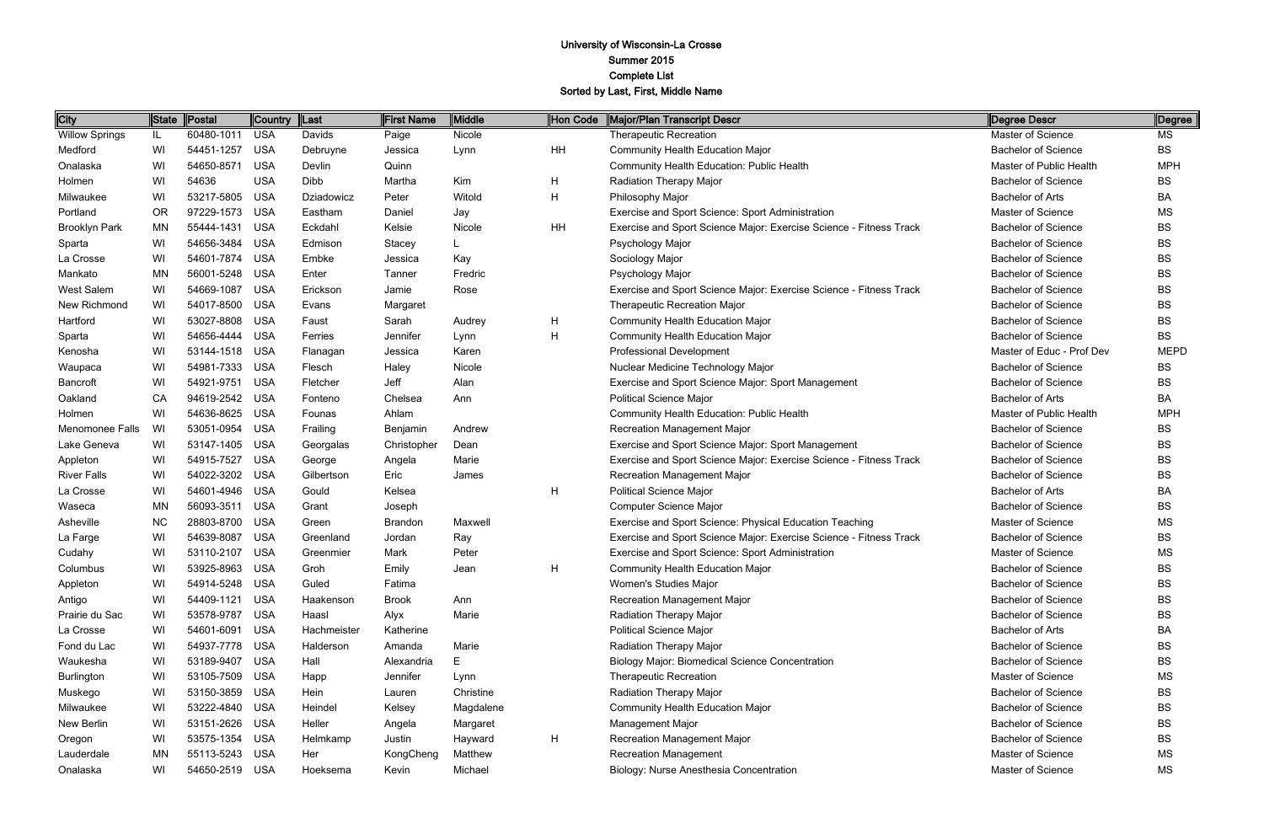| <b>City</b>           | State     | Postal         | Country  Last |             | First Name     | Middle    | Hon Code | Major/Plan Transcript Descr                                        | Degree Descr               | Degree      |
|-----------------------|-----------|----------------|---------------|-------------|----------------|-----------|----------|--------------------------------------------------------------------|----------------------------|-------------|
| <b>Willow Springs</b> | IL        | 60480-1011     | <b>USA</b>    | Davids      | Paige          | Nicole    |          | <b>Therapeutic Recreation</b>                                      | Master of Science          | MS          |
| Medford               | WI        | 54451-1257     | <b>USA</b>    | Debruyne    | Jessica        | Lynn      | HH       | Community Health Education Major                                   | <b>Bachelor of Science</b> | <b>BS</b>   |
| Onalaska              | WI        | 54650-8571     | <b>USA</b>    | Devlin      | Quinn          |           |          | <b>Community Health Education: Public Health</b>                   | Master of Public Health    | <b>MPH</b>  |
| Holmen                | WI        | 54636          | <b>USA</b>    | Dibb        | Martha         | Kim       | H        | Radiation Therapy Major                                            | <b>Bachelor of Science</b> | <b>BS</b>   |
| Milwaukee             | WI        | 53217-5805     | <b>USA</b>    | Dziadowicz  | Peter          | Witold    | H        | Philosophy Major                                                   | <b>Bachelor of Arts</b>    | BA          |
| Portland              | <b>OR</b> | 97229-1573     | <b>USA</b>    | Eastham     | Daniel         | Jay       |          | Exercise and Sport Science: Sport Administration                   | Master of Science          | MS          |
| <b>Brooklyn Park</b>  | MN        | 55444-1431     | <b>USA</b>    | Eckdahl     | Kelsie         | Nicole    | HH       | Exercise and Sport Science Major: Exercise Science - Fitness Track | <b>Bachelor of Science</b> | <b>BS</b>   |
| Sparta                | WI        | 54656-3484     | <b>USA</b>    | Edmison     | Stacey         |           |          | Psychology Major                                                   | <b>Bachelor of Science</b> | <b>BS</b>   |
| La Crosse             | WI        | 54601-7874     | <b>USA</b>    | Embke       | Jessica        | Kay       |          | Sociology Major                                                    | <b>Bachelor of Science</b> | <b>BS</b>   |
| Mankato               | MN        | 56001-5248     | <b>USA</b>    | Enter       | Tanner         | Fredric   |          | Psychology Major                                                   | <b>Bachelor of Science</b> | <b>BS</b>   |
| West Salem            | WI        | 54669-1087     | <b>USA</b>    | Erickson    | Jamie          | Rose      |          | Exercise and Sport Science Major: Exercise Science - Fitness Track | <b>Bachelor of Science</b> | <b>BS</b>   |
| New Richmond          | WI        | 54017-8500     | <b>USA</b>    | Evans       | Margaret       |           |          | <b>Therapeutic Recreation Major</b>                                | <b>Bachelor of Science</b> | <b>BS</b>   |
| Hartford              | WI        | 53027-8808     | <b>USA</b>    | Faust       | Sarah          | Audrey    | H        | <b>Community Health Education Major</b>                            | <b>Bachelor of Science</b> | <b>BS</b>   |
| Sparta                | WI        | 54656-4444     | <b>USA</b>    | Ferries     | Jennifer       | Lynn      | H        | <b>Community Health Education Major</b>                            | <b>Bachelor of Science</b> | <b>BS</b>   |
| Kenosha               | WI        | 53144-1518     | <b>USA</b>    | Flanagan    | Jessica        | Karen     |          | Professional Development                                           | Master of Educ - Prof Dev  | <b>MEPD</b> |
| Waupaca               | WI        | 54981-7333     | <b>USA</b>    | Flesch      | Haley          | Nicole    |          | Nuclear Medicine Technology Major                                  | <b>Bachelor of Science</b> | <b>BS</b>   |
| Bancroft              | WI        | 54921-9751     | <b>USA</b>    | Fletcher    | Jeff           | Alan      |          | Exercise and Sport Science Major: Sport Management                 | <b>Bachelor of Science</b> | <b>BS</b>   |
| Oakland               | CA        | 94619-2542     | <b>USA</b>    | Fonteno     | Chelsea        | Ann       |          | <b>Political Science Major</b>                                     | <b>Bachelor of Arts</b>    | BA          |
| Holmen                | WI        | 54636-8625     | <b>USA</b>    | Founas      | Ahlam          |           |          | <b>Community Health Education: Public Health</b>                   | Master of Public Health    | <b>MPH</b>  |
| Menomonee Falls       | WI        | 53051-0954     | <b>USA</b>    | Frailing    | Benjamin       | Andrew    |          | <b>Recreation Management Major</b>                                 | <b>Bachelor of Science</b> | <b>BS</b>   |
| Lake Geneva           | WI        | 53147-1405     | <b>USA</b>    | Georgalas   | Christopher    | Dean      |          | Exercise and Sport Science Major: Sport Management                 | <b>Bachelor of Science</b> | <b>BS</b>   |
| Appleton              | WI        | 54915-7527     | <b>USA</b>    | George      | Angela         | Marie     |          | Exercise and Sport Science Major: Exercise Science - Fitness Track | <b>Bachelor of Science</b> | <b>BS</b>   |
| <b>River Falls</b>    | WI        | 54022-3202     | <b>USA</b>    | Gilbertson  | Eric           | James     |          | <b>Recreation Management Major</b>                                 | <b>Bachelor of Science</b> | <b>BS</b>   |
| La Crosse             | WI        | 54601-4946     | <b>USA</b>    | Gould       | Kelsea         |           | H        | <b>Political Science Major</b>                                     | <b>Bachelor of Arts</b>    | BA          |
| Waseca                | MN        | 56093-3511     | <b>USA</b>    | Grant       | Joseph         |           |          | <b>Computer Science Major</b>                                      | <b>Bachelor of Science</b> | BS          |
| Asheville             | <b>NC</b> | 28803-8700     | <b>USA</b>    | Green       | <b>Brandon</b> | Maxwell   |          | Exercise and Sport Science: Physical Education Teaching            | Master of Science          | <b>MS</b>   |
| La Farge              | WI        | 54639-8087     | <b>USA</b>    | Greenland   | Jordan         | Ray       |          | Exercise and Sport Science Major: Exercise Science - Fitness Track | <b>Bachelor of Science</b> | BS          |
| Cudahy                | WI        | 53110-2107     | <b>USA</b>    | Greenmier   | Mark           | Peter     |          | Exercise and Sport Science: Sport Administration                   | Master of Science          | <b>MS</b>   |
| Columbus              | WI        | 53925-8963 USA |               | Groh        | Emily          | Jean      |          | <b>Community Health Education Major</b>                            | <b>Bachelor of Science</b> | BS          |
| Appleton              | WI        | 54914-5248 USA |               | Guled       | Fatima         |           |          | Women's Studies Major                                              | <b>Bachelor of Science</b> | BS          |
| Antigo                | WI        | 54409-1121     | <b>USA</b>    | Haakenson   | <b>Brook</b>   | Ann       |          | <b>Recreation Management Major</b>                                 | <b>Bachelor of Science</b> | BS          |
| Prairie du Sac        | WI        | 53578-9787     | <b>USA</b>    | Haasl       | Alyx           | Marie     |          | <b>Radiation Therapy Major</b>                                     | <b>Bachelor of Science</b> | BS          |
| La Crosse             | WI        | 54601-6091     | <b>USA</b>    | Hachmeister | Katherine      |           |          | <b>Political Science Major</b>                                     | <b>Bachelor of Arts</b>    | BA          |
| Fond du Lac           | WI        | 54937-7778     | <b>USA</b>    | Halderson   | Amanda         | Marie     |          | Radiation Therapy Major                                            | <b>Bachelor of Science</b> | BS          |
| Waukesha              | WI        | 53189-9407     | <b>USA</b>    | Hall        | Alexandria     | E         |          | <b>Biology Major: Biomedical Science Concentration</b>             | <b>Bachelor of Science</b> | BS          |
| Burlington            | WI        | 53105-7509     | USA           | Happ        | Jennifer       | Lynn      |          | <b>Therapeutic Recreation</b>                                      | Master of Science          | МS          |
| Muskego               | WI        | 53150-3859     | <b>USA</b>    | Hein        | Lauren         | Christine |          | Radiation Therapy Major                                            | <b>Bachelor of Science</b> | BS          |
| Milwaukee             | WI        | 53222-4840     | USA           | Heindel     | Kelsey         | Magdalene |          | <b>Community Health Education Major</b>                            | <b>Bachelor of Science</b> | <b>BS</b>   |
| New Berlin            | WI        | 53151-2626     | USA           | Heller      | Angela         | Margaret  |          | <b>Management Major</b>                                            | <b>Bachelor of Science</b> | BS          |
| Oregon                | WI        | 53575-1354     | USA           | Helmkamp    | Justin         | Hayward   | H        | <b>Recreation Management Major</b>                                 | <b>Bachelor of Science</b> | BS.         |
| Lauderdale            | ΜN        | 55113-5243     | USA           | Her         | KongCheng      | Matthew   |          | <b>Recreation Management</b>                                       | Master of Science          | MS          |
| Onalaska              | WI        | 54650-2519 USA |               | Hoeksema    | Kevin          | Michael   |          | Biology: Nurse Anesthesia Concentration                            | Master of Science          | ΜS          |

| Degree Descr               | Degree      |
|----------------------------|-------------|
| Master of Science          | МS          |
| <b>Bachelor of Science</b> | BS.         |
| Master of Public Health    | <b>MPH</b>  |
| <b>Bachelor of Science</b> | BS          |
| <b>Bachelor of Arts</b>    | BA          |
| Master of Science          | ΜS          |
| <b>Bachelor of Science</b> | <b>BS</b>   |
| <b>Bachelor of Science</b> | BS          |
| <b>Bachelor of Science</b> | BS          |
| <b>Bachelor of Science</b> | BS          |
| <b>Bachelor of Science</b> | BS          |
| <b>Bachelor of Science</b> | BS          |
| <b>Bachelor of Science</b> | <b>BS</b>   |
| <b>Bachelor of Science</b> | BS          |
| Master of Educ - Prof Dev  | <b>MEPD</b> |
| <b>Bachelor of Science</b> | BS          |
| <b>Bachelor of Science</b> | BS          |
| <b>Bachelor of Arts</b>    | BA          |
| Master of Public Health    | MPH         |
| <b>Bachelor of Science</b> | BS          |
| <b>Bachelor of Science</b> | BS          |
| <b>Bachelor of Science</b> | BS          |
| <b>Bachelor of Science</b> | BS          |
| <b>Bachelor of Arts</b>    | BA          |
| <b>Bachelor of Science</b> | BS          |
| Master of Science          | MS          |
| <b>Bachelor of Science</b> | BS          |
| Master of Science          | ΜS          |
| <b>Bachelor of Science</b> | BS          |
| <b>Bachelor of Science</b> | BS          |
| <b>Bachelor of Science</b> | BS          |
| Bachelor of Science        | BS          |
| <b>Bachelor of Arts</b>    | ВA          |
| <b>Bachelor of Science</b> | BS          |
| <b>Bachelor of Science</b> | BS          |
| Master of Science          | MS          |
| <b>Bachelor of Science</b> | BS          |
| <b>Bachelor of Science</b> | BS          |
| <b>Bachelor of Science</b> | BS          |
| <b>Bachelor of Science</b> | BS          |
| Master of Science          | МS          |
| Master of Science          | ΜS          |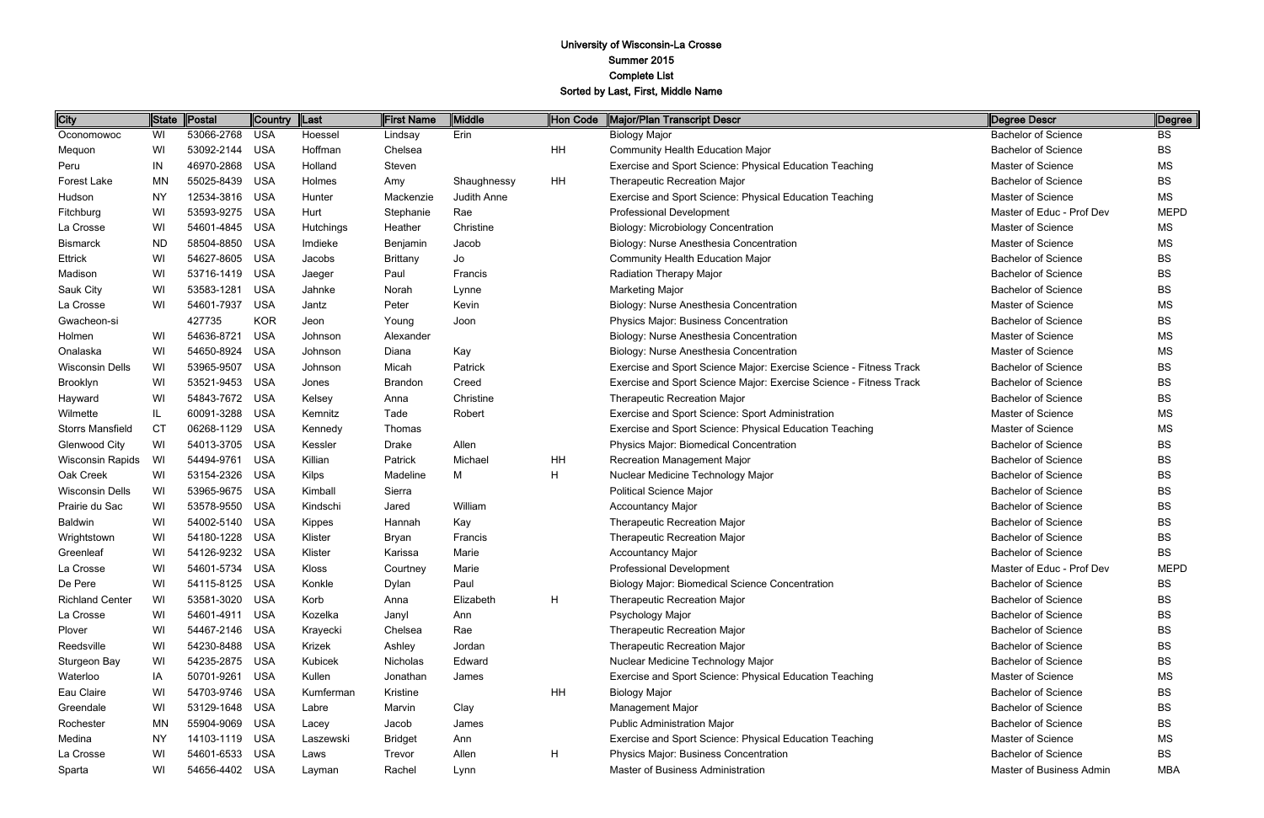| City                    | ∥State    | Postal         | <b>Country</b> | $\ $ Last | <b>First Name</b> | Middle      | Hon Code  | Major/Plan Transcript Descr                                        | Degree Descr               | Degree      |
|-------------------------|-----------|----------------|----------------|-----------|-------------------|-------------|-----------|--------------------------------------------------------------------|----------------------------|-------------|
| Oconomowoc              | WI        | 53066-2768     | <b>USA</b>     | Hoessel   | Lindsay           | Erin        |           | <b>Biology Major</b>                                               | <b>Bachelor of Science</b> | <b>BS</b>   |
| Mequon                  | WI        | 53092-2144     | <b>USA</b>     | Hoffman   | Chelsea           |             | HH        | <b>Community Health Education Major</b>                            | <b>Bachelor of Science</b> | <b>BS</b>   |
| Peru                    | IN        | 46970-2868     | <b>USA</b>     | Holland   | Steven            |             |           | Exercise and Sport Science: Physical Education Teaching            | Master of Science          | MS.         |
| Forest Lake             | <b>MN</b> | 55025-8439     | <b>USA</b>     | Holmes    | Amy               | Shaughnessy | <b>HH</b> | <b>Therapeutic Recreation Major</b>                                | <b>Bachelor of Science</b> | <b>BS</b>   |
| Hudson                  | <b>NY</b> | 12534-3816     | <b>USA</b>     | Hunter    | Mackenzie         | Judith Anne |           | Exercise and Sport Science: Physical Education Teaching            | Master of Science          | ΜS          |
| Fitchburg               | WI        | 53593-9275     | <b>USA</b>     | Hurt      | Stephanie         | Rae         |           | <b>Professional Development</b>                                    | Master of Educ - Prof Dev  | <b>MEPD</b> |
| La Crosse               | WI        | 54601-4845     | <b>USA</b>     | Hutchings | Heather           | Christine   |           | <b>Biology: Microbiology Concentration</b>                         | <b>Master of Science</b>   | MS.         |
| <b>Bismarck</b>         | <b>ND</b> | 58504-8850     | <b>USA</b>     | Imdieke   | Benjamin          | Jacob       |           | Biology: Nurse Anesthesia Concentration                            | Master of Science          | <b>MS</b>   |
| <b>Ettrick</b>          | WI        | 54627-8605     | <b>USA</b>     | Jacobs    | <b>Brittany</b>   | Jo          |           | <b>Community Health Education Major</b>                            | <b>Bachelor of Science</b> | <b>BS</b>   |
| Madison                 | WI        | 53716-1419     | <b>USA</b>     | Jaeger    | Paul              | Francis     |           | <b>Radiation Therapy Major</b>                                     | <b>Bachelor of Science</b> | BS          |
| Sauk City               | WI        | 53583-1281     | <b>USA</b>     | Jahnke    | Norah             | Lynne       |           | <b>Marketing Major</b>                                             | <b>Bachelor of Science</b> | <b>BS</b>   |
| La Crosse               | WI        | 54601-7937     | <b>USA</b>     | Jantz     | Peter             | Kevin       |           | Biology: Nurse Anesthesia Concentration                            | Master of Science          | <b>MS</b>   |
| Gwacheon-si             |           | 427735         | <b>KOR</b>     | Jeon      | Young             | Joon        |           | <b>Physics Major: Business Concentration</b>                       | <b>Bachelor of Science</b> | <b>BS</b>   |
| Holmen                  | WI        | 54636-8721     | <b>USA</b>     | Johnson   | Alexander         |             |           | Biology: Nurse Anesthesia Concentration                            | <b>Master of Science</b>   | <b>MS</b>   |
| Onalaska                | WI        | 54650-8924     | <b>USA</b>     | Johnson   | Diana             | Kay         |           | Biology: Nurse Anesthesia Concentration                            | <b>Master of Science</b>   | MS.         |
| <b>Wisconsin Dells</b>  | WI        | 53965-9507     | <b>USA</b>     | Johnson   | Micah             | Patrick     |           | Exercise and Sport Science Major: Exercise Science - Fitness Track | <b>Bachelor of Science</b> | <b>BS</b>   |
| Brooklyn                | WI        | 53521-9453     | <b>USA</b>     | Jones     | <b>Brandon</b>    | Creed       |           | Exercise and Sport Science Major: Exercise Science - Fitness Track | <b>Bachelor of Science</b> | <b>BS</b>   |
| Hayward                 | WI        | 54843-7672     | <b>USA</b>     | Kelsey    | Anna              | Christine   |           | Therapeutic Recreation Major                                       | <b>Bachelor of Science</b> | <b>BS</b>   |
| Wilmette                | IL        | 60091-3288     | <b>USA</b>     | Kemnitz   | Tade              | Robert      |           | Exercise and Sport Science: Sport Administration                   | <b>Master of Science</b>   | ΜS          |
| <b>Storrs Mansfield</b> | <b>CT</b> | 06268-1129     | <b>USA</b>     | Kennedy   | Thomas            |             |           | Exercise and Sport Science: Physical Education Teaching            | Master of Science          | <b>MS</b>   |
| <b>Glenwood City</b>    | WI        | 54013-3705     | <b>USA</b>     | Kessler   | Drake             | Allen       |           | Physics Major: Biomedical Concentration                            | <b>Bachelor of Science</b> | <b>BS</b>   |
| Wisconsin Rapids        | WI        | 54494-9761     | <b>USA</b>     | Killian   | Patrick           | Michael     | HH        | <b>Recreation Management Major</b>                                 | <b>Bachelor of Science</b> | BS          |
| Oak Creek               | WI        | 53154-2326     | <b>USA</b>     | Kilps     | Madeline          | M           | H         | Nuclear Medicine Technology Major                                  | <b>Bachelor of Science</b> | BS          |
| <b>Wisconsin Dells</b>  | WI        | 53965-9675     | <b>USA</b>     | Kimball   | Sierra            |             |           | <b>Political Science Major</b>                                     | <b>Bachelor of Science</b> | <b>BS</b>   |
| Prairie du Sac          | WI        | 53578-9550     | <b>USA</b>     | Kindschi  | Jared             | William     |           | <b>Accountancy Major</b>                                           | <b>Bachelor of Science</b> | <b>BS</b>   |
| <b>Baldwin</b>          | WI        | 54002-5140     | <b>USA</b>     | Kippes    | Hannah            | Kay         |           | <b>Therapeutic Recreation Major</b>                                | <b>Bachelor of Science</b> | <b>BS</b>   |
| Wrightstown             | WI        | 54180-1228     | <b>USA</b>     | Klister   | Bryan             | Francis     |           | <b>Therapeutic Recreation Major</b>                                | <b>Bachelor of Science</b> | <b>BS</b>   |
| Greenleaf               | WI        | 54126-9232     | <b>USA</b>     | Klister   | Karissa           | Marie       |           | <b>Accountancy Major</b>                                           | <b>Bachelor of Science</b> | BS          |
| La Crosse               | WI        | 54601-5734 USA |                | Kloss     | Courtney          | Marie       |           | <b>Professional Development</b>                                    | Master of Educ - Prof Dev  | <b>MEPD</b> |
| De Pere                 | WI        | 54115-8125 USA |                | Konkle    | Dylan             | Paul        |           | <b>Biology Major: Biomedical Science Concentration</b>             | <b>Bachelor of Science</b> | <b>BS</b>   |
| <b>Richland Center</b>  | WI        | 53581-3020     | <b>USA</b>     | Korb      | Anna              | Elizabeth   | H         | <b>Therapeutic Recreation Major</b>                                | <b>Bachelor of Science</b> | BS          |
| La Crosse               | WI        | 54601-4911     | USA            | Kozelka   | Janyl             | Ann         |           | Psychology Major                                                   | <b>Bachelor of Science</b> | BS          |
| Plover                  | WI        | 54467-2146     | USA            | Krayecki  | Chelsea           | Rae         |           | <b>Therapeutic Recreation Major</b>                                | <b>Bachelor of Science</b> | BS          |
| Reedsville              | WI        | 54230-8488     | <b>USA</b>     | Krizek    | Ashley            | Jordan      |           | <b>Therapeutic Recreation Major</b>                                | <b>Bachelor of Science</b> | BS          |
| Sturgeon Bay            | WI        | 54235-2875     | USA            | Kubicek   | Nicholas          | Edward      |           | Nuclear Medicine Technology Major                                  | <b>Bachelor of Science</b> | <b>BS</b>   |
| Waterloo                | IA        | 50701-9261     | USA            | Kullen    | Jonathan          | James       |           | Exercise and Sport Science: Physical Education Teaching            | Master of Science          | МS          |
| Eau Claire              | WI        | 54703-9746     | USA            | Kumferman | Kristine          |             | HH        | <b>Biology Major</b>                                               | <b>Bachelor of Science</b> | BS          |
| Greendale               | WI        | 53129-1648     | USA            | Labre     | Marvin            | Clay        |           | <b>Management Major</b>                                            | <b>Bachelor of Science</b> | BS          |
| Rochester               | <b>MN</b> | 55904-9069     | USA            | Lacey     | Jacob             | James       |           | <b>Public Administration Major</b>                                 | <b>Bachelor of Science</b> | <b>BS</b>   |
| Medina                  | NY        | 14103-1119     | USA            | Laszewski | <b>Bridget</b>    | Ann         |           | Exercise and Sport Science: Physical Education Teaching            | Master of Science          | MS          |
| La Crosse               | WI        | 54601-6533     | USA            | Laws      | Trevor            | Allen       | H         | Physics Major: Business Concentration                              | <b>Bachelor of Science</b> | BS.         |
| Sparta                  | WI        | 54656-4402 USA |                | Layman    | Rachel            | Lynn        |           | Master of Business Administration                                  | Master of Business Admin   | MBA         |

| Degree Descr               | Degree      |
|----------------------------|-------------|
| <b>Bachelor of Science</b> | BS          |
| <b>Bachelor of Science</b> | BS          |
| <b>Master of Science</b>   | ΜS          |
| <b>Bachelor of Science</b> | BS          |
| <b>Master of Science</b>   | МS          |
| Master of Educ - Prof Dev  | <b>MEPD</b> |
| Master of Science          | ΜS          |
| Master of Science          | ΜS          |
| <b>Bachelor of Science</b> | BS          |
| <b>Bachelor of Science</b> | BS          |
| <b>Bachelor of Science</b> | BS          |
| <b>Master of Science</b>   | MS          |
| <b>Bachelor of Science</b> | BS          |
| Master of Science          | MS          |
| <b>Master of Science</b>   | MS          |
| <b>Bachelor of Science</b> | <b>BS</b>   |
| Bachelor of Science        | BS          |
| <b>Bachelor of Science</b> | BS          |
| Master of Science          | МS          |
| Master of Science          | MS          |
| <b>Bachelor of Science</b> | BS          |
| <b>Bachelor of Science</b> | BS          |
| <b>Bachelor of Science</b> | BS          |
| <b>Bachelor of Science</b> | BS          |
| <b>Bachelor of Science</b> | BS          |
| <b>Bachelor of Science</b> | BS          |
| <b>Bachelor of Science</b> | BS          |
| <b>Bachelor of Science</b> | BS          |
| Master of Educ - Prof Dev  | MEPD        |
| <b>Bachelor of Science</b> | BS          |
| <b>Bachelor of Science</b> | BS          |
| <b>Bachelor of Science</b> | BS          |
| <b>Bachelor of Science</b> | BS          |
| Bachelor of Science        | BS          |
| <b>Bachelor of Science</b> | <b>BS</b>   |
| Master of Science          | MS          |
| Bachelor of Science        | BS          |
| Bachelor of Science        | BS          |
| <b>Bachelor of Science</b> | <b>BS</b>   |
| <b>Master of Science</b>   | МS          |
| <b>Bachelor of Science</b> | BS          |
| Master of Business Admin   | <b>MBA</b>  |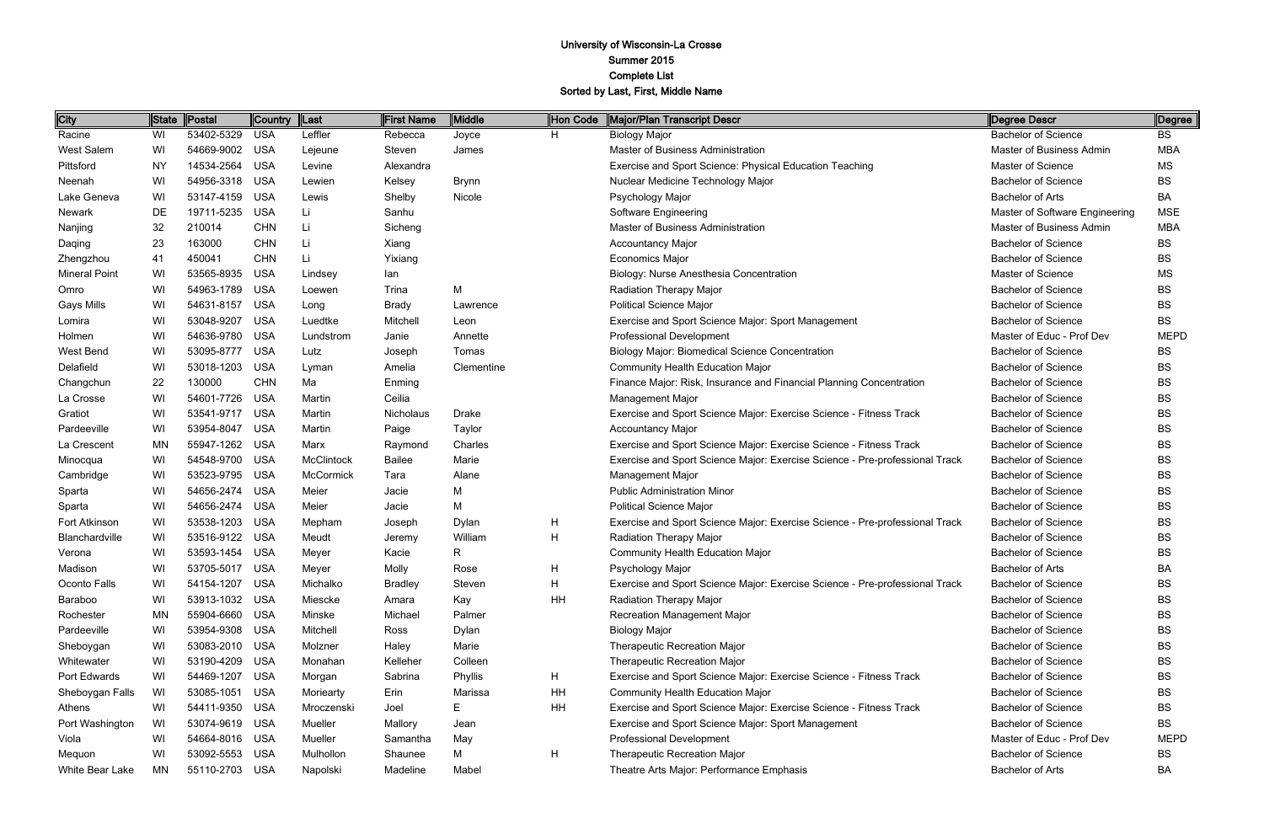| City                 | State | Postal         | Country  Last |            | First Name     | Middle       | Hon Code | Major/Plan Transcript Descr                                                 | Degree Descr                   | Degree      |
|----------------------|-------|----------------|---------------|------------|----------------|--------------|----------|-----------------------------------------------------------------------------|--------------------------------|-------------|
| Racine               | WI    | 53402-5329     | <b>USA</b>    | Leffler    | Rebecca        | Joyce        | H        | <b>Biology Major</b>                                                        | <b>Bachelor of Science</b>     | <b>BS</b>   |
| West Salem           | WI    | 54669-9002     | <b>USA</b>    | Lejeune    | Steven         | James        |          | Master of Business Administration                                           | Master of Business Admin       | <b>MBA</b>  |
| Pittsford            | ΝY    | 14534-2564     | <b>USA</b>    | Levine     | Alexandra      |              |          | Exercise and Sport Science: Physical Education Teaching                     | Master of Science              | MS          |
| Neenah               | WI    | 54956-3318     | <b>USA</b>    | Lewien     | Kelsey         | <b>Brynn</b> |          | Nuclear Medicine Technology Major                                           | <b>Bachelor of Science</b>     | BS          |
| Lake Geneva          | WI    | 53147-4159     | <b>USA</b>    | Lewis      | Shelby         | Nicole       |          | Psychology Major                                                            | <b>Bachelor of Arts</b>        | BA          |
| Newark               | DE    | 19711-5235     | <b>USA</b>    | Li         | Sanhu          |              |          | Software Engineering                                                        | Master of Software Engineering | <b>MSE</b>  |
| Nanjing              | 32    | 210014         | <b>CHN</b>    | Li         | Sicheng        |              |          | Master of Business Administration                                           | Master of Business Admin       | <b>MBA</b>  |
| Daqing               | 23    | 163000         | <b>CHN</b>    | Li         | Xiang          |              |          | <b>Accountancy Major</b>                                                    | <b>Bachelor of Science</b>     | <b>BS</b>   |
| Zhengzhou            | 41    | 450041         | <b>CHN</b>    | Li         | Yixiang        |              |          | <b>Economics Major</b>                                                      | <b>Bachelor of Science</b>     | BS          |
| <b>Mineral Point</b> | WI    | 53565-8935     | <b>USA</b>    | Lindsey    | lan            |              |          | Biology: Nurse Anesthesia Concentration                                     | Master of Science              | MS          |
| Omro                 | WI    | 54963-1789     | <b>USA</b>    | Loewen     | Trina          | M            |          | Radiation Therapy Major                                                     | <b>Bachelor of Science</b>     | BS          |
| <b>Gays Mills</b>    | WI    | 54631-8157     | <b>USA</b>    | Long       | Brady          | Lawrence     |          | <b>Political Science Major</b>                                              | <b>Bachelor of Science</b>     | <b>BS</b>   |
| Lomira               | WI    | 53048-9207     | <b>USA</b>    | Luedtke    | Mitchell       | Leon         |          | Exercise and Sport Science Major: Sport Management                          | <b>Bachelor of Science</b>     | BS          |
| Holmen               | WI    | 54636-9780     | <b>USA</b>    | Lundstrom  | Janie          | Annette      |          | Professional Development                                                    | Master of Educ - Prof Dev      | <b>MEPD</b> |
| West Bend            | WI    | 53095-8777     | <b>USA</b>    | Lutz       | Joseph         | Tomas        |          | <b>Biology Major: Biomedical Science Concentration</b>                      | <b>Bachelor of Science</b>     | BS          |
| Delafield            | WI    | 53018-1203     | <b>USA</b>    | Lyman      | Amelia         | Clementine   |          | <b>Community Health Education Major</b>                                     | <b>Bachelor of Science</b>     | <b>BS</b>   |
| Changchun            | 22    | 130000         | <b>CHN</b>    | Ma         | Enming         |              |          | Finance Major: Risk, Insurance and Financial Planning Concentration         | <b>Bachelor of Science</b>     | <b>BS</b>   |
| La Crosse            | WI    | 54601-7726     | <b>USA</b>    | Martin     | Ceilia         |              |          | <b>Management Major</b>                                                     | <b>Bachelor of Science</b>     | <b>BS</b>   |
| Gratiot              | WI    | 53541-9717     | <b>USA</b>    | Martin     | Nicholaus      | Drake        |          | Exercise and Sport Science Major: Exercise Science - Fitness Track          | <b>Bachelor of Science</b>     | <b>BS</b>   |
| Pardeeville          | WI    | 53954-8047     | <b>USA</b>    | Martin     | Paige          | Taylor       |          | <b>Accountancy Major</b>                                                    | <b>Bachelor of Science</b>     | <b>BS</b>   |
| La Crescent          | ΜN    | 55947-1262     | <b>USA</b>    | Marx       | Raymond        | Charles      |          | Exercise and Sport Science Major: Exercise Science - Fitness Track          | <b>Bachelor of Science</b>     | <b>BS</b>   |
| Minocqua             | WI    | 54548-9700     | <b>USA</b>    | McClintock | Bailee         | Marie        |          | Exercise and Sport Science Major: Exercise Science - Pre-professional Track | <b>Bachelor of Science</b>     | <b>BS</b>   |
| Cambridge            | WI    | 53523-9795     | <b>USA</b>    | McCormick  | Tara           | Alane        |          | <b>Management Major</b>                                                     | <b>Bachelor of Science</b>     | BS          |
| Sparta               | WI    | 54656-2474     | <b>USA</b>    | Meier      | Jacie          | М            |          | <b>Public Administration Minor</b>                                          | <b>Bachelor of Science</b>     | BS          |
| Sparta               | WI    | 54656-2474     | <b>USA</b>    | Meier      | Jacie          | M            |          | <b>Political Science Major</b>                                              | <b>Bachelor of Science</b>     | <b>BS</b>   |
| Fort Atkinson        | WI    | 53538-1203     | <b>USA</b>    | Mepham     | Joseph         | Dylan        | H        | Exercise and Sport Science Major: Exercise Science - Pre-professional Track | <b>Bachelor of Science</b>     | <b>BS</b>   |
| Blanchardville       | WI    | 53516-9122     | <b>USA</b>    | Meudt      | Jeremy         | William      | Н        | Radiation Therapy Major                                                     | <b>Bachelor of Science</b>     | BS          |
| Verona               | WI    | 53593-1454     | <b>USA</b>    | Meyer      | Kacie          | $\mathsf{R}$ |          | <b>Community Health Education Major</b>                                     | <b>Bachelor of Science</b>     | <b>BS</b>   |
| Madison              | WI    | 53705-5017 USA |               | Meyer      | Molly          | Rose         | Н        | Psychology Major                                                            | <b>Bachelor of Arts</b>        | BA          |
| Oconto Falls         | WI    | 54154-1207     | USA           | Michalko   | <b>Bradley</b> | Steven       | H        | Exercise and Sport Science Major: Exercise Science - Pre-professional Track | <b>Bachelor of Science</b>     | BS          |
| Baraboo              | WI    | 53913-1032     | <b>USA</b>    | Miescke    | Amara          | Kay          | HH       | <b>Radiation Therapy Major</b>                                              | <b>Bachelor of Science</b>     | <b>BS</b>   |
| Rochester            | MN    | 55904-6660     | <b>USA</b>    | Minske     | Michael        | Palmer       |          | Recreation Management Major                                                 | <b>Bachelor of Science</b>     | BS          |
| Pardeeville          | WI    | 53954-9308     | <b>USA</b>    | Mitchell   | Ross           | Dylan        |          | <b>Biology Major</b>                                                        | <b>Bachelor of Science</b>     | BS          |
| Sheboygan            | WI    | 53083-2010     | <b>USA</b>    | Molzner    | Haley          | Marie        |          | <b>Therapeutic Recreation Major</b>                                         | <b>Bachelor of Science</b>     | BS          |
| Whitewater           | WI    | 53190-4209     | <b>USA</b>    | Monahan    | Kelleher       | Colleen      |          | <b>Therapeutic Recreation Major</b>                                         | <b>Bachelor of Science</b>     | <b>BS</b>   |
| Port Edwards         | WI    | 54469-1207     | <b>USA</b>    | Morgan     | Sabrina        | Phyllis      | H        | Exercise and Sport Science Major: Exercise Science - Fitness Track          | <b>Bachelor of Science</b>     | BS          |
| Sheboygan Falls      | WI    | 53085-1051     | <b>USA</b>    | Moriearty  | Erin           | Marissa      | HH       | <b>Community Health Education Major</b>                                     | <b>Bachelor of Science</b>     | <b>BS</b>   |
| Athens               | WI    | 54411-9350     | <b>USA</b>    | Mroczenski | Joel           | Е            | HH       | Exercise and Sport Science Major: Exercise Science - Fitness Track          | <b>Bachelor of Science</b>     | <b>BS</b>   |
| Port Washington      | WI    | 53074-9619     | <b>USA</b>    | Mueller    | Mallory        | Jean         |          | Exercise and Sport Science Major: Sport Management                          | <b>Bachelor of Science</b>     | <b>BS</b>   |
| Viola                | WI    | 54664-8016     | USA           | Mueller    | Samantha       | May          |          | Professional Development                                                    | Master of Educ - Prof Dev      | <b>MEPD</b> |
| Mequon               | WI    | 53092-5553     | <b>USA</b>    | Mulhollon  | Shaunee        | M            | Н        | Therapeutic Recreation Major                                                | <b>Bachelor of Science</b>     | BS          |
| White Bear Lake      | MN    | 55110-2703     | USA           | Napolski   | Madeline       | Mabel        |          | Theatre Arts Major: Performance Emphasis                                    | <b>Bachelor of Arts</b>        | BA          |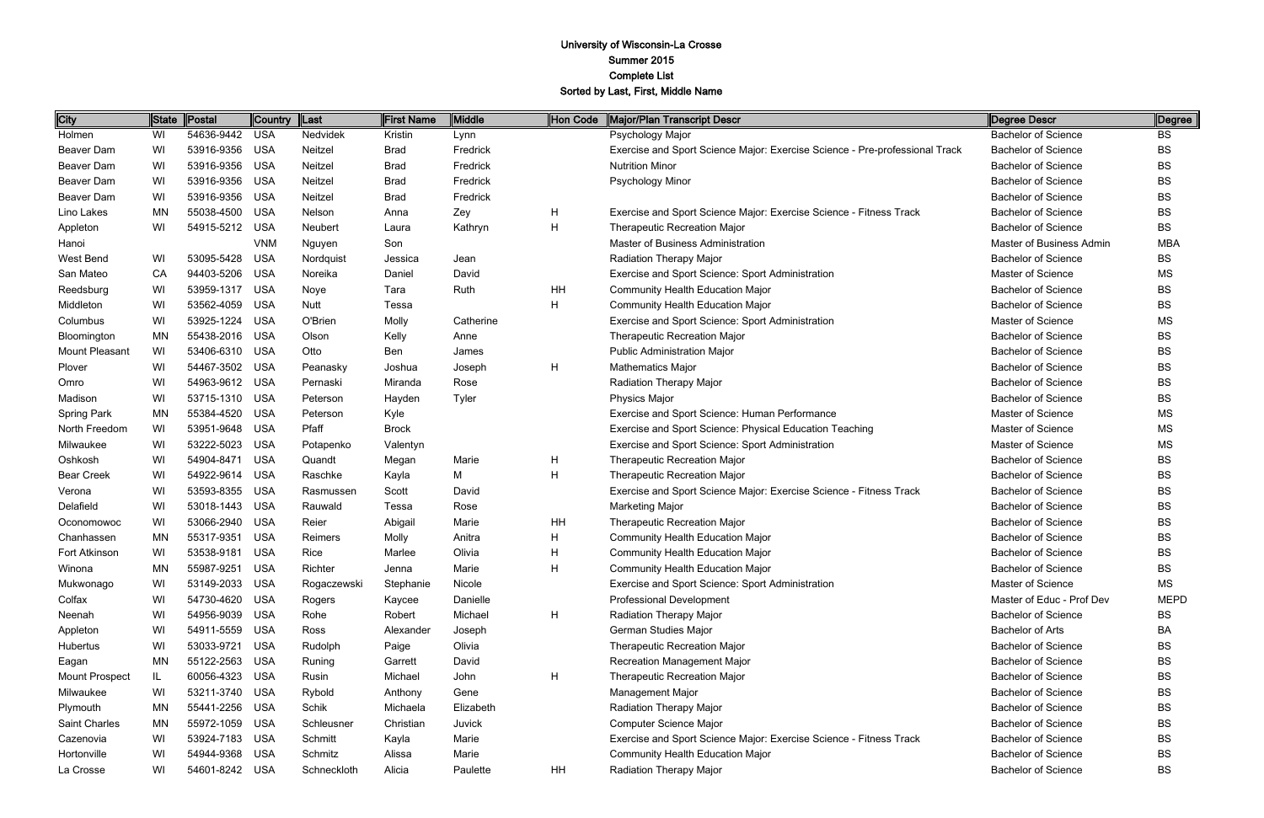| City                  | State | Postal     | <b>Country</b> | $\ $ Last   | <b>First Name</b> | Middle    | Hon Code | Major/Plan Transcript Descr                                                 | Degree Descr               | Degree      |
|-----------------------|-------|------------|----------------|-------------|-------------------|-----------|----------|-----------------------------------------------------------------------------|----------------------------|-------------|
| Holmen                | WI    | 54636-9442 | <b>USA</b>     | Nedvidek    | Kristin           | Lynn      |          | Psychology Major                                                            | <b>Bachelor of Science</b> | <b>BS</b>   |
| Beaver Dam            | WI    | 53916-9356 | <b>USA</b>     | Neitzel     | <b>Brad</b>       | Fredrick  |          | Exercise and Sport Science Major: Exercise Science - Pre-professional Track | <b>Bachelor of Science</b> | <b>BS</b>   |
| Beaver Dam            | WI    | 53916-9356 | <b>USA</b>     | Neitzel     | <b>Brad</b>       | Fredrick  |          | <b>Nutrition Minor</b>                                                      | <b>Bachelor of Science</b> | <b>BS</b>   |
| Beaver Dam            | WI    | 53916-9356 | <b>USA</b>     | Neitzel     | <b>Brad</b>       | Fredrick  |          | Psychology Minor                                                            | <b>Bachelor of Science</b> | <b>BS</b>   |
| Beaver Dam            | WI    | 53916-9356 | <b>USA</b>     | Neitzel     | Brad              | Fredrick  |          |                                                                             | <b>Bachelor of Science</b> | <b>BS</b>   |
| Lino Lakes            | ΜN    | 55038-4500 | <b>USA</b>     | Nelson      | Anna              | Zey       | H        | Exercise and Sport Science Major: Exercise Science - Fitness Track          | <b>Bachelor of Science</b> | <b>BS</b>   |
| Appleton              | WI    | 54915-5212 | <b>USA</b>     | Neubert     | Laura             | Kathryn   | H        | <b>Therapeutic Recreation Major</b>                                         | <b>Bachelor of Science</b> | <b>BS</b>   |
| Hanoi                 |       |            | <b>VNM</b>     | Nguyen      | Son               |           |          | Master of Business Administration                                           | Master of Business Admin   | <b>MBA</b>  |
| West Bend             | WI    | 53095-5428 | <b>USA</b>     | Nordquist   | Jessica           | Jean      |          | Radiation Therapy Major                                                     | <b>Bachelor of Science</b> | <b>BS</b>   |
| San Mateo             | CA    | 94403-5206 | <b>USA</b>     | Noreika     | Daniel            | David     |          | Exercise and Sport Science: Sport Administration                            | <b>Master of Science</b>   | <b>MS</b>   |
| Reedsburg             | WI    | 53959-1317 | <b>USA</b>     | Noye        | Tara              | Ruth      | HH       | <b>Community Health Education Major</b>                                     | <b>Bachelor of Science</b> | <b>BS</b>   |
| Middleton             | WI    | 53562-4059 | <b>USA</b>     | Nutt        | Tessa             |           | H        | <b>Community Health Education Major</b>                                     | <b>Bachelor of Science</b> | <b>BS</b>   |
| Columbus              | WI    | 53925-1224 | <b>USA</b>     | O'Brien     | Molly             | Catherine |          | Exercise and Sport Science: Sport Administration                            | Master of Science          | <b>MS</b>   |
| Bloomington           | ΜN    | 55438-2016 | <b>USA</b>     | Olson       | Kelly             | Anne      |          | <b>Therapeutic Recreation Major</b>                                         | <b>Bachelor of Science</b> | <b>BS</b>   |
| <b>Mount Pleasant</b> | WI    | 53406-6310 | <b>USA</b>     | Otto        | Ben               | James     |          | <b>Public Administration Major</b>                                          | <b>Bachelor of Science</b> | <b>BS</b>   |
| Plover                | WI    | 54467-3502 | <b>USA</b>     | Peanasky    | Joshua            | Joseph    | H        | <b>Mathematics Major</b>                                                    | <b>Bachelor of Science</b> | <b>BS</b>   |
| Omro                  | WI    | 54963-9612 | <b>USA</b>     | Pernaski    | Miranda           | Rose      |          | Radiation Therapy Major                                                     | <b>Bachelor of Science</b> | BS          |
| Madison               | WI    | 53715-1310 | <b>USA</b>     | Peterson    | Hayden            | Tyler     |          | <b>Physics Major</b>                                                        | <b>Bachelor of Science</b> | <b>BS</b>   |
| <b>Spring Park</b>    | ΜN    | 55384-4520 | <b>USA</b>     | Peterson    | Kyle              |           |          | Exercise and Sport Science: Human Performance                               | Master of Science          | <b>MS</b>   |
| North Freedom         | WI    | 53951-9648 | <b>USA</b>     | Pfaff       | <b>Brock</b>      |           |          | Exercise and Sport Science: Physical Education Teaching                     | Master of Science          | <b>MS</b>   |
| Milwaukee             | WI    | 53222-5023 | <b>USA</b>     | Potapenko   | Valentyn          |           |          | Exercise and Sport Science: Sport Administration                            | Master of Science          | <b>MS</b>   |
| Oshkosh               | WI    | 54904-8471 | <b>USA</b>     | Quandt      | Megan             | Marie     | H        | <b>Therapeutic Recreation Major</b>                                         | <b>Bachelor of Science</b> | BS          |
| <b>Bear Creek</b>     | WI    | 54922-9614 | <b>USA</b>     | Raschke     | Kayla             | M         | H        | Therapeutic Recreation Major                                                | <b>Bachelor of Science</b> | <b>BS</b>   |
| Verona                | WI    | 53593-8355 | <b>USA</b>     | Rasmussen   | Scott             | David     |          | Exercise and Sport Science Major: Exercise Science - Fitness Track          | <b>Bachelor of Science</b> | <b>BS</b>   |
| Delafield             | WI    | 53018-1443 | <b>USA</b>     | Rauwald     | Tessa             | Rose      |          | <b>Marketing Major</b>                                                      | <b>Bachelor of Science</b> | <b>BS</b>   |
| Oconomowoc            | WI    | 53066-2940 | <b>USA</b>     | Reier       | Abigail           | Marie     | HH       | Therapeutic Recreation Major                                                | <b>Bachelor of Science</b> | <b>BS</b>   |
| Chanhassen            | ΜN    | 55317-9351 | <b>USA</b>     | Reimers     | Molly             | Anitra    | H        | <b>Community Health Education Major</b>                                     | <b>Bachelor of Science</b> | BS          |
| Fort Atkinson         | WI    | 53538-9181 | <b>USA</b>     | Rice        | Marlee            | Olivia    | H        | <b>Community Health Education Major</b>                                     | <b>Bachelor of Science</b> | <b>BS</b>   |
| Winona                | ΜN    | 55987-9251 | USA            | Richter     | Jenna             | Marie     | Н        | <b>Community Health Education Major</b>                                     | <b>Bachelor of Science</b> | <b>BS</b>   |
| Mukwonago             | WI    | 53149-2033 | <b>USA</b>     | Rogaczewski | Stephanie         | Nicole    |          | Exercise and Sport Science: Sport Administration                            | Master of Science          | <b>MS</b>   |
| Colfax                | WI    | 54730-4620 | USA            | Rogers      | Kaycee            | Danielle  |          | <b>Professional Development</b>                                             | Master of Educ - Prof Dev  | <b>MEPD</b> |
| Neenah                | WI    | 54956-9039 | USA            | Rohe        | Robert            | Michael   | H        | Radiation Therapy Major                                                     | <b>Bachelor of Science</b> | BS          |
| Appleton              | WI    | 54911-5559 | <b>USA</b>     | Ross        | Alexander         | Joseph    |          | German Studies Major                                                        | <b>Bachelor of Arts</b>    | BA          |
| Hubertus              | WI    | 53033-9721 | <b>USA</b>     | Rudolph     | Paige             | Olivia    |          | <b>Therapeutic Recreation Major</b>                                         | <b>Bachelor of Science</b> | <b>BS</b>   |
| Eagan                 | ΜN    | 55122-2563 | <b>USA</b>     | Runing      | Garrett           | David     |          | Recreation Management Major                                                 | <b>Bachelor of Science</b> | <b>BS</b>   |
| Mount Prospect        | IL    | 60056-4323 | USA            | Rusin       | Michael           | John      | H        | <b>Therapeutic Recreation Major</b>                                         | <b>Bachelor of Science</b> | <b>BS</b>   |
| Milwaukee             | WI    | 53211-3740 | <b>USA</b>     | Rybold      | Anthony           | Gene      |          | <b>Management Major</b>                                                     | <b>Bachelor of Science</b> | BS          |
| Plymouth              | ΜN    | 55441-2256 | <b>USA</b>     | Schik       | Michaela          | Elizabeth |          | Radiation Therapy Major                                                     | <b>Bachelor of Science</b> | BS          |
| Saint Charles         | ΜN    | 55972-1059 | <b>USA</b>     | Schleusner  | Christian         | Juvick    |          | Computer Science Major                                                      | <b>Bachelor of Science</b> | <b>BS</b>   |
| Cazenovia             | WI    | 53924-7183 | <b>USA</b>     | Schmitt     | Kayla             | Marie     |          | Exercise and Sport Science Major: Exercise Science - Fitness Track          | <b>Bachelor of Science</b> | <b>BS</b>   |
| Hortonville           | WI    | 54944-9368 | <b>USA</b>     | Schmitz     | Alissa            | Marie     |          | Community Health Education Major                                            | <b>Bachelor of Science</b> | BS          |
| La Crosse             | WI    | 54601-8242 | USA            | Schneckloth | Alicia            | Paulette  | HH       | Radiation Therapy Major                                                     | <b>Bachelor of Science</b> | <b>BS</b>   |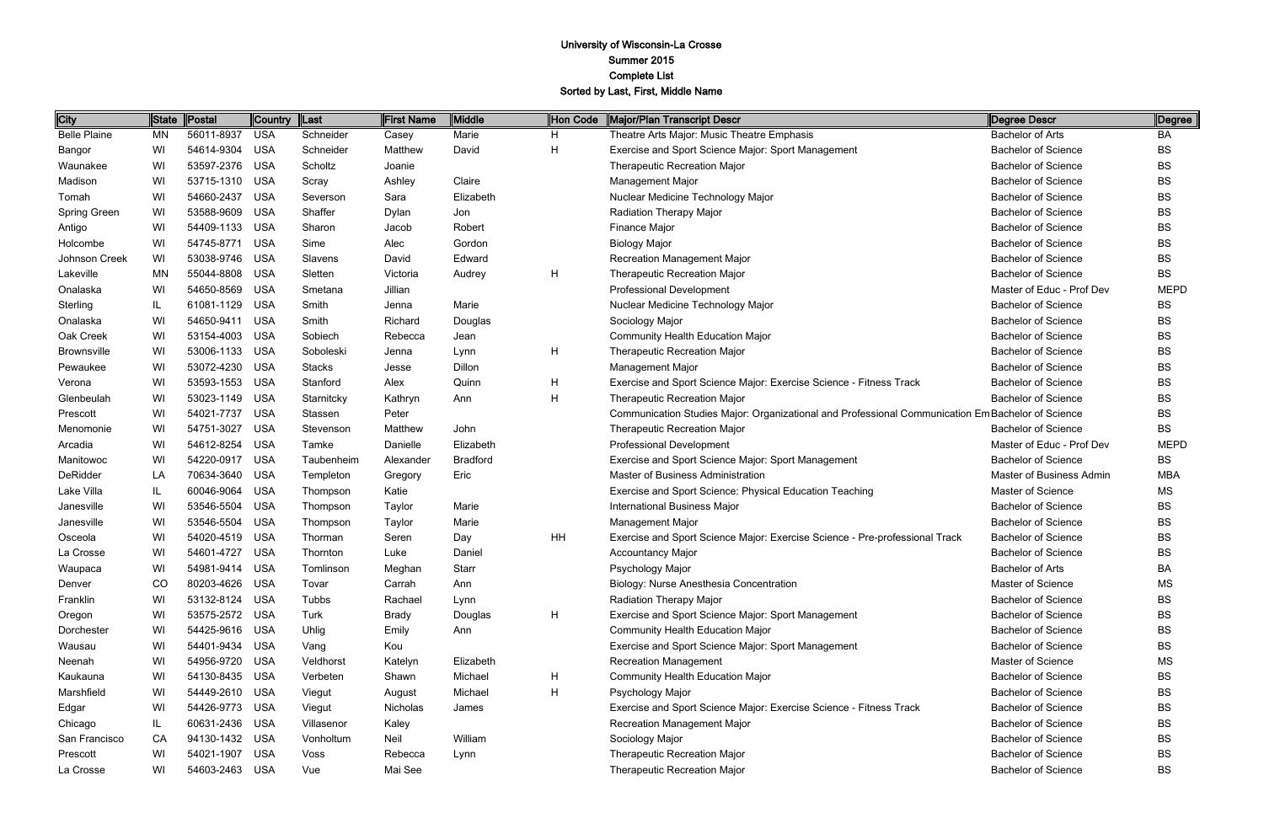| <b>City</b>         | <b>State</b> | Postal     | Country    | $\ $ Last     | <b>First Name</b> | Middle          | Hon Code | Major/Plan Transcript Descr                                                                       | Degree Descr               | Degree      |
|---------------------|--------------|------------|------------|---------------|-------------------|-----------------|----------|---------------------------------------------------------------------------------------------------|----------------------------|-------------|
| <b>Belle Plaine</b> | ΜN           | 56011-8937 | <b>USA</b> | Schneider     | Casey             | Marie           | H        | Theatre Arts Major: Music Theatre Emphasis                                                        | <b>Bachelor of Arts</b>    | BA          |
| Bangor              | WI           | 54614-9304 | <b>USA</b> | Schneider     | Matthew           | David           | H        | Exercise and Sport Science Major: Sport Management                                                | <b>Bachelor of Science</b> | <b>BS</b>   |
| Waunakee            | WI           | 53597-2376 | <b>USA</b> | Scholtz       | Joanie            |                 |          | <b>Therapeutic Recreation Major</b>                                                               | <b>Bachelor of Science</b> | <b>BS</b>   |
| Madison             | WI           | 53715-1310 | <b>USA</b> | Scray         | Ashley            | Claire          |          | Management Major                                                                                  | <b>Bachelor of Science</b> | <b>BS</b>   |
| Tomah               | WI           | 54660-2437 | <b>USA</b> | Severson      | Sara              | Elizabeth       |          | Nuclear Medicine Technology Major                                                                 | <b>Bachelor of Science</b> | <b>BS</b>   |
| Spring Green        | WI           | 53588-9609 | <b>USA</b> | Shaffer       | Dylan             | Jon             |          | Radiation Therapy Major                                                                           | <b>Bachelor of Science</b> | <b>BS</b>   |
| Antigo              | WI           | 54409-1133 | <b>USA</b> | Sharon        | Jacob             | Robert          |          | Finance Major                                                                                     | <b>Bachelor of Science</b> | <b>BS</b>   |
| Holcombe            | WI           | 54745-8771 | <b>USA</b> | Sime          | Alec              | Gordon          |          | <b>Biology Major</b>                                                                              | <b>Bachelor of Science</b> | <b>BS</b>   |
| Johnson Creek       | WI           | 53038-9746 | <b>USA</b> | Slavens       | David             | Edward          |          | <b>Recreation Management Major</b>                                                                | <b>Bachelor of Science</b> | ВS          |
| Lakeville           | ΜN           | 55044-8808 | <b>USA</b> | Sletten       | Victoria          | Audrey          | H        | Therapeutic Recreation Major                                                                      | <b>Bachelor of Science</b> | <b>BS</b>   |
| Onalaska            | WI           | 54650-8569 | <b>USA</b> | Smetana       | Jillian           |                 |          | <b>Professional Development</b>                                                                   | Master of Educ - Prof Dev  | <b>MEPD</b> |
| Sterling            | IL           | 61081-1129 | <b>USA</b> | Smith         | Jenna             | Marie           |          | Nuclear Medicine Technology Major                                                                 | <b>Bachelor of Science</b> | <b>BS</b>   |
| Onalaska            | WI           | 54650-9411 | <b>USA</b> | Smith         | Richard           | Douglas         |          | Sociology Major                                                                                   | <b>Bachelor of Science</b> | ВS          |
| Oak Creek           | WI           | 53154-4003 | <b>USA</b> | Sobiech       | Rebecca           | Jean            |          | <b>Community Health Education Major</b>                                                           | <b>Bachelor of Science</b> | <b>BS</b>   |
| <b>Brownsville</b>  | WI           | 53006-1133 | <b>USA</b> | Soboleski     | Jenna             | Lynn            | H        | Therapeutic Recreation Major                                                                      | <b>Bachelor of Science</b> | <b>BS</b>   |
| Pewaukee            | WI           | 53072-4230 | <b>USA</b> | <b>Stacks</b> | Jesse             | Dillon          |          | <b>Management Major</b>                                                                           | <b>Bachelor of Science</b> | <b>BS</b>   |
| Verona              | WI           | 53593-1553 | <b>USA</b> | Stanford      | Alex              | Quinn           | H        | Exercise and Sport Science Major: Exercise Science - Fitness Track                                | <b>Bachelor of Science</b> | ВS          |
| Glenbeulah          | WI           | 53023-1149 | <b>USA</b> | Starnitcky    | Kathryn           | Ann             | H        | <b>Therapeutic Recreation Major</b>                                                               | <b>Bachelor of Science</b> | <b>BS</b>   |
| Prescott            | WI           | 54021-7737 | <b>USA</b> | Stassen       | Peter             |                 |          | Communication Studies Major: Organizational and Professional Communication Em Bachelor of Science |                            | <b>BS</b>   |
| Menomonie           | WI           | 54751-3027 | <b>USA</b> | Stevenson     | Matthew           | John            |          | Therapeutic Recreation Major                                                                      | <b>Bachelor of Science</b> | <b>BS</b>   |
| Arcadia             | WI           | 54612-8254 | <b>USA</b> | Tamke         | Danielle          | Elizabeth       |          | <b>Professional Development</b>                                                                   | Master of Educ - Prof Dev  | <b>MEPD</b> |
| Manitowoc           | WI           | 54220-0917 | <b>USA</b> | Taubenheim    | Alexander         | <b>Bradford</b> |          | Exercise and Sport Science Major: Sport Management                                                | <b>Bachelor of Science</b> | ВS          |
| DeRidder            | LA           | 70634-3640 | <b>USA</b> | Templeton     | Gregory           | Eric            |          | Master of Business Administration                                                                 | Master of Business Admin   | <b>MBA</b>  |
| Lake Villa          | IL           | 60046-9064 | <b>USA</b> | Thompson      | Katie             |                 |          | Exercise and Sport Science: Physical Education Teaching                                           | Master of Science          | <b>MS</b>   |
| Janesville          | WI           | 53546-5504 | <b>USA</b> | Thompson      | Taylor            | Marie           |          | <b>International Business Major</b>                                                               | <b>Bachelor of Science</b> | <b>BS</b>   |
| Janesville          | WI           | 53546-5504 | <b>USA</b> | Thompson      | Taylor            | Marie           |          | Management Major                                                                                  | <b>Bachelor of Science</b> | <b>BS</b>   |
| Osceola             | WI           | 54020-4519 | <b>USA</b> | Thorman       | Seren             | Day             | HH       | Exercise and Sport Science Major: Exercise Science - Pre-professional Track                       | <b>Bachelor of Science</b> | ВS          |
| La Crosse           | WI           | 54601-4727 | <b>USA</b> | Thornton      | Luke              | Daniel          |          | <b>Accountancy Major</b>                                                                          | <b>Bachelor of Science</b> | <b>BS</b>   |
| Waupaca             | WI           | 54981-9414 | <b>USA</b> | Tomlinson     | Meghan            | Starr           |          | Psychology Major                                                                                  | Bachelor of Arts           | BA          |
| Denver              | CO.          | 80203-4626 | USA        | Tovar         | Carrah            | Ann             |          | Biology: Nurse Anesthesia Concentration                                                           | <b>Master of Science</b>   | <b>MS</b>   |
| Franklin            | WI           | 53132-8124 | <b>USA</b> | Tubbs         | Rachael           | Lynn            |          | Radiation Therapy Major                                                                           | <b>Bachelor of Science</b> | ВS          |
| Oregon              | WI           | 53575-2572 | USA        | Turk          | Brady             | Douglas         | H        | Exercise and Sport Science Major: Sport Management                                                | <b>Bachelor of Science</b> | BS          |
| Dorchester          | WI           | 54425-9616 | <b>USA</b> | Uhlig         | Emily             | Ann             |          | <b>Community Health Education Major</b>                                                           | <b>Bachelor of Science</b> | BS          |
| Wausau              | WI           | 54401-9434 | <b>USA</b> | Vang          | Kou               |                 |          | Exercise and Sport Science Major: Sport Management                                                | <b>Bachelor of Science</b> | <b>BS</b>   |
| Neenah              | WI           | 54956-9720 | <b>USA</b> | Veldhorst     | Katelyn           | Elizabeth       |          | <b>Recreation Management</b>                                                                      | Master of Science          | MS          |
| Kaukauna            | WI           | 54130-8435 | <b>USA</b> | Verbeten      | Shawn             | Michael         | H        | <b>Community Health Education Major</b>                                                           | <b>Bachelor of Science</b> | <b>BS</b>   |
| Marshfield          | WI           | 54449-2610 | <b>USA</b> | Viegut        | August            | Michael         | H        | Psychology Major                                                                                  | <b>Bachelor of Science</b> | BS          |
| Edgar               | WI           | 54426-9773 | <b>USA</b> | Viegut        | Nicholas          | James           |          | Exercise and Sport Science Major: Exercise Science - Fitness Track                                | <b>Bachelor of Science</b> | <b>BS</b>   |
| Chicago             | IL           | 60631-2436 | <b>USA</b> | Villasenor    | Kaley             |                 |          | Recreation Management Major                                                                       | <b>Bachelor of Science</b> | BS          |
| San Francisco       | CA           | 94130-1432 | USA        | Vonholtum     | Neil              | William         |          | Sociology Major                                                                                   | <b>Bachelor of Science</b> | <b>BS</b>   |
| Prescott            | WI           | 54021-1907 | <b>USA</b> | Voss          | Rebecca           | Lynn            |          | Therapeutic Recreation Major                                                                      | <b>Bachelor of Science</b> | BS          |
| La Crosse           | WI           | 54603-2463 | USA        | Vue           | Mai See           |                 |          | Therapeutic Recreation Major                                                                      | <b>Bachelor of Science</b> | <b>BS</b>   |